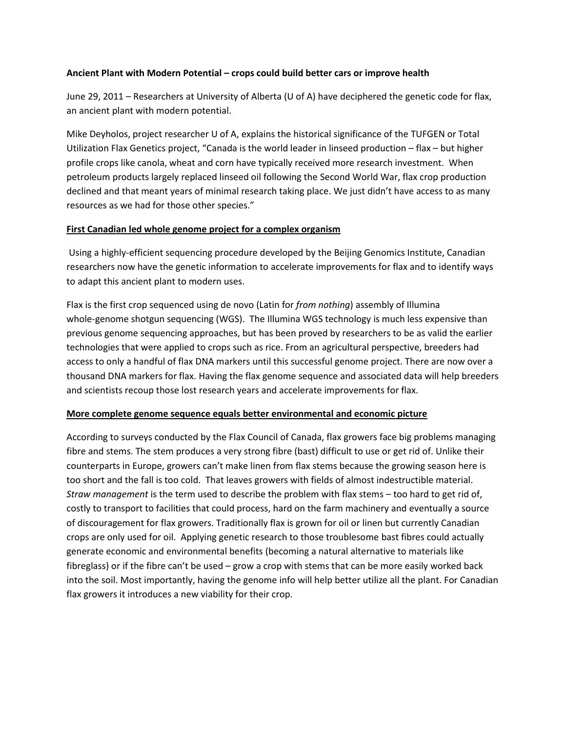### **Ancient Plant with Modern Potential – crops could build better cars or improve health**

June 29, 2011 – Researchers at University of Alberta (U of A) have deciphered the genetic code for flax, an ancient plant with modern potential.

Mike Deyholos, project researcher U of A, explains the historical significance of the TUFGEN or Total Utilization Flax Genetics project, "Canada is the world leader in linseed production – flax – but higher profile crops like canola, wheat and corn have typically received more research investment. When petroleum products largely replaced linseed oil following the Second World War, flax crop production declined and that meant years of minimal research taking place. We just didn't have access to as many resources as we had for those other species."

# **First Canadian led whole genome project for a complex organism**

Using a highly-efficient sequencing procedure developed by the Beijing Genomics Institute, Canadian researchers now have the genetic information to accelerate improvements for flax and to identify ways to adapt this ancient plant to modern uses.

Flax is the first crop sequenced using de novo (Latin for *from nothing*) assembly of Illumina whole-genome shotgun sequencing (WGS). The Illumina WGS technology is much less expensive than previous genome sequencing approaches, but has been proved by researchers to be as valid the earlier technologies that were applied to crops such as rice. From an agricultural perspective, breeders had access to only a handful of flax DNA markers until this successful genome project. There are now over a thousand DNA markers for flax. Having the flax genome sequence and associated data will help breeders and scientists recoup those lost research years and accelerate improvements for flax.

# **More complete genome sequence equals better environmental and economic picture**

According to surveys conducted by the Flax Council of Canada, flax growers face big problems managing fibre and stems. The stem produces a very strong fibre (bast) difficult to use or get rid of. Unlike their counterparts in Europe, growers can't make linen from flax stems because the growing season here is too short and the fall is too cold. That leaves growers with fields of almost indestructible material. *Straw management* is the term used to describe the problem with flax stems – too hard to get rid of, costly to transport to facilities that could process, hard on the farm machinery and eventually a source of discouragement for flax growers. Traditionally flax is grown for oil or linen but currently Canadian crops are only used for oil. Applying genetic research to those troublesome bast fibres could actually generate economic and environmental benefits (becoming a natural alternative to materials like fibreglass) or if the fibre can't be used – grow a crop with stems that can be more easily worked back into the soil. Most importantly, having the genome info will help better utilize all the plant. For Canadian flax growers it introduces a new viability for their crop.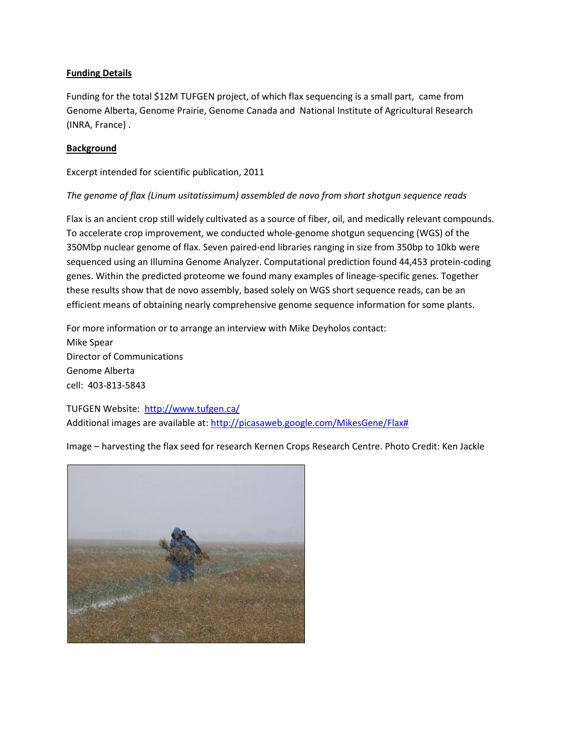# **Funding Details**

Funding for the total \$12M TUFGEN project, of which flax sequencing is a small part, came from Genome Alberta, Genome Prairie, Genome Canada and National Institute of Agricultural Research (INRA, France) .

### **Background**

Excerpt intended for scientific publication, 2011

# *The genome of flax (Linum usitatissimum) assembled de novo from short shotgun sequence reads*

Flax is an ancient crop still widely cultivated as a source of fiber, oil, and medically relevant compounds. To accelerate crop improvement, we conducted whole‐genome shotgun sequencing (WGS) of the 350Mbp nuclear genome of flax. Seven paired‐end libraries ranging in size from 350bp to 10kb were sequenced using an Illumina Genome Analyzer. Computational prediction found 44,453 protein‐coding genes. Within the predicted proteome we found many examples of lineage‐specific genes. Together these results show that de novo assembly, based solely on WGS short sequence reads, can be an efficient means of obtaining nearly comprehensive genome sequence information for some plants.

For more information or to arrange an interview with Mike Deyholos contact: Mike Spear Director of Communications Genome Alberta cell: 403-813-5843

TUFGEN Website: <http://www.tufgen.ca/> Additional images are available at: [http://picasaweb.google.com/MikesGene/Flax#](http://picasaweb.google.com/MikesGene/Flax)

Image – harvesting the flax seed for research Kernen Crops Research Centre. Photo Credit: Ken Jackle